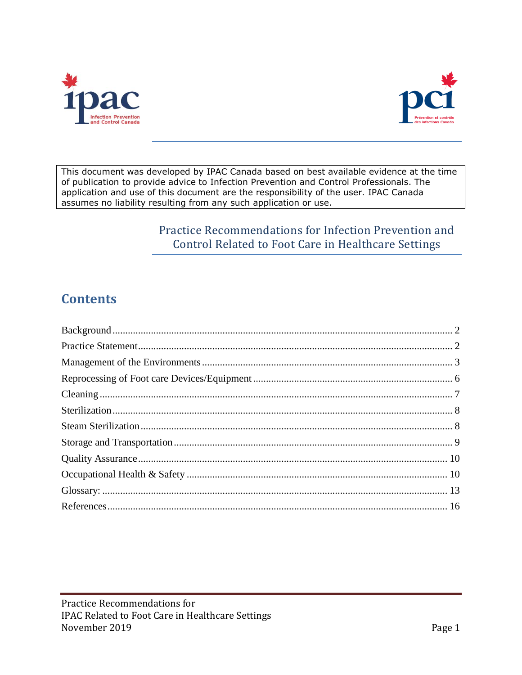



This document was developed by IPAC Canada based on best available evidence at the time of publication to provide advice to Infection Prevention and Control Professionals. The application and use of this document are the responsibility of the user. IPAC Canada assumes no liability resulting from any such application or use.

# Practice Recommendations for Infection Prevention and Control Related to Foot Care in Healthcare Settings

# **Contents**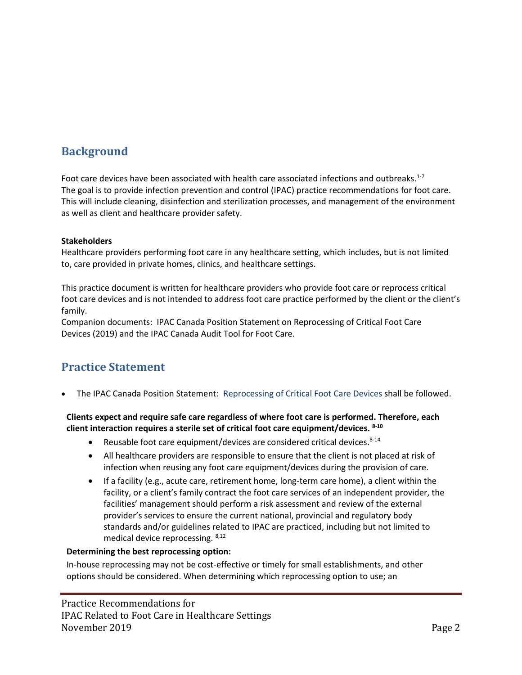# <span id="page-1-0"></span>**Background**

Foot care devices have been associated with health care associated infections and outbreaks.<sup>1-7</sup> The goal is to provide infection prevention and control (IPAC) practice recommendations for foot care. This will include cleaning, disinfection and sterilization processes, and management of the environment as well as client and healthcare provider safety.

### **Stakeholders**

Healthcare providers performing foot care in any healthcare setting, which includes, but is not limited to, care provided in private homes, clinics, and healthcare settings.

This practice document is written for healthcare providers who provide foot care or reprocess critical foot care devices and is not intended to address foot care practice performed by the client or the client's family.

Companion documents: IPAC Canada Position Statement on Reprocessing of Critical Foot Care Devices (2019) and the IPAC Canada Audit Tool for Foot Care.

# <span id="page-1-1"></span>**Practice Statement**

The IPAC Canada Position Statement: [Reprocessing of Critical Foot Care Devices](https://ipac-canada.org/photos/custom/Members/pdf/Position%20Statement%20%20_ReprocessingCriticalFootCare_RevisedJuly2019.pdf) shall be followed.

### **Clients expect and require safe care regardless of where foot care is performed. Therefore, each client interaction requires a sterile set of critical foot care equipment/devices. 8-10**

- Reusable foot care equipment/devices are considered critical devices. $8-14$
- All healthcare providers are responsible to ensure that the client is not placed at risk of infection when reusing any foot care equipment/devices during the provision of care.
- If a facility (e.g., acute care, retirement home, long-term care home), a client within the facility, or a client's family contract the foot care services of an independent provider, the facilities' management should perform a risk assessment and review of the external provider's services to ensure the current national, provincial and regulatory body standards and/or guidelines related to IPAC are practiced, including but not limited to medical device reprocessing. 8,12

### **Determining the best reprocessing option:**

In-house reprocessing may not be cost-effective or timely for small establishments, and other options should be considered. When determining which reprocessing option to use; an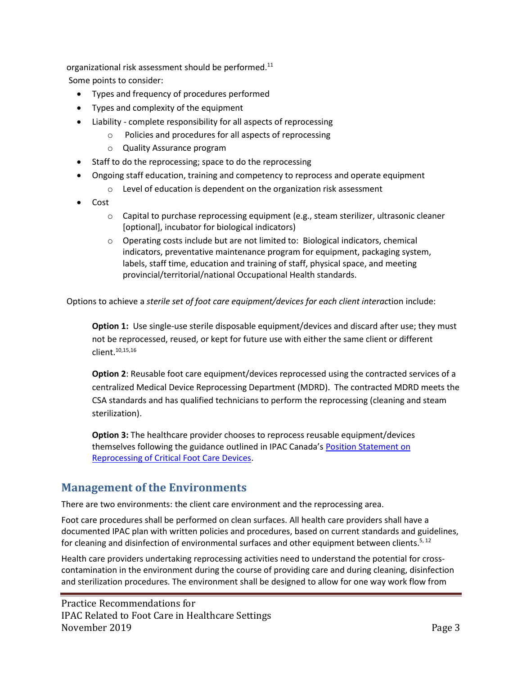organizational risk assessment should be performed.<sup>11</sup> Some points to consider:

- Types and frequency of procedures performed
- Types and complexity of the equipment
- Liability complete responsibility for all aspects of reprocessing
	- o Policies and procedures for all aspects of reprocessing
		- o Quality Assurance program
- Staff to do the reprocessing; space to do the reprocessing
- Ongoing staff education, training and competency to reprocess and operate equipment
	- o Level of education is dependent on the organization risk assessment
- Cost
	- $\circ$  Capital to purchase reprocessing equipment (e.g., steam sterilizer, ultrasonic cleaner [optional], incubator for biological indicators)
	- $\circ$  Operating costs include but are not limited to: Biological indicators, chemical indicators, preventative maintenance program for equipment, packaging system, labels, staff time, education and training of staff, physical space, and meeting provincial/territorial/national Occupational Health standards.

Options to achieve a *sterile set of foot care equipment/devices for each client interac*tion include:

**Option 1:** Use single-use sterile disposable equipment/devices and discard after use; they must not be reprocessed, reused, or kept for future use with either the same client or different client. 10,15,16

**Option 2**: Reusable foot care equipment/devices reprocessed using the contracted services of a centralized Medical Device Reprocessing Department (MDRD). The contracted MDRD meets the CSA standards and has qualified technicians to perform the reprocessing (cleaning and steam sterilization).

**Option 3:** The healthcare provider chooses to reprocess reusable equipment/devices themselves following the guidance outlined in IPAC Canada's Position Statement on [Reprocessing of Critical Foot Care Devices.](https://ipac-canada.org/photos/custom/Members/pdf/Position%20Statement%20%20_ReprocessingCriticalFootCare_Nov_2018_FINAL.pdf)

# <span id="page-2-0"></span>**Management of the Environments**

There are two environments: the client care environment and the reprocessing area.

Foot care procedures shall be performed on clean surfaces. All health care providers shall have a documented IPAC plan with written policies and procedures, based on current standards and guidelines, for cleaning and disinfection of environmental surfaces and other equipment between clients.<sup>5, 12</sup>

Health care providers undertaking reprocessing activities need to understand the potential for crosscontamination in the environment during the course of providing care and during cleaning, disinfection and sterilization procedures. The environment shall be designed to allow for one way work flow from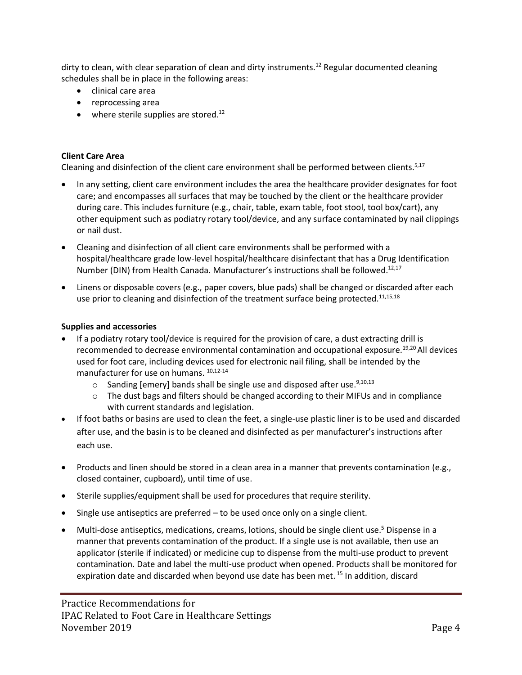dirty to clean, with clear separation of clean and dirty instruments.<sup>12</sup> Regular documented cleaning schedules shall be in place in the following areas:

- clinical care area
- reprocessing area
- where sterile supplies are stored.<sup>12</sup>

### **Client Care Area**

Cleaning and disinfection of the client care environment shall be performed between clients.<sup>5,17</sup>

- In any setting, client care environment includes the area the healthcare provider designates for foot care; and encompasses all surfaces that may be touched by the client or the healthcare provider during care. This includes furniture (e.g., chair, table, exam table, foot stool, tool box/cart), any other equipment such as podiatry rotary tool/device, and any surface contaminated by nail clippings or nail dust.
- Cleaning and disinfection of all client care environments shall be performed with a hospital/healthcare grade low-level hospital/healthcare disinfectant that has a Drug Identification Number (DIN) from Health Canada. Manufacturer's instructions shall be followed.12,17
- Linens or disposable covers (e.g., paper covers, blue pads) shall be changed or discarded after each use prior to cleaning and disinfection of the treatment surface being protected.<sup>11,15,18</sup>

### **Supplies and accessories**

- If a podiatry rotary tool/device is required for the provision of care, a dust extracting drill is recommended to decrease environmental contamination and occupational exposure.<sup>19,20</sup> All devices used for foot care, including devices used for electronic nail filing, shall be intended by the manufacturer for use on humans. 10,12-14
	- $\circ$  Sanding [emery] bands shall be single use and disposed after use.<sup>9,10,13</sup>
	- $\circ$  The dust bags and filters should be changed according to their MIFUs and in compliance with current standards and legislation.
- If foot baths or basins are used to clean the feet, a single-use plastic liner is to be used and discarded after use, and the basin is to be cleaned and disinfected as per manufacturer's instructions after each use.
- Products and linen should be stored in a clean area in a manner that prevents contamination (e.g., closed container, cupboard), until time of use.
- Sterile supplies/equipment shall be used for procedures that require sterility.
- Single use antiseptics are preferred to be used once only on a single client.
- Multi-dose antiseptics, medications, creams, lotions, should be single client use.<sup>5</sup> Dispense in a manner that prevents contamination of the product. If a single use is not available, then use an applicator (sterile if indicated) or medicine cup to dispense from the multi-use product to prevent contamination. Date and label the multi-use product when opened. Products shall be monitored for expiration date and discarded when beyond use date has been met. <sup>15</sup> In addition, discard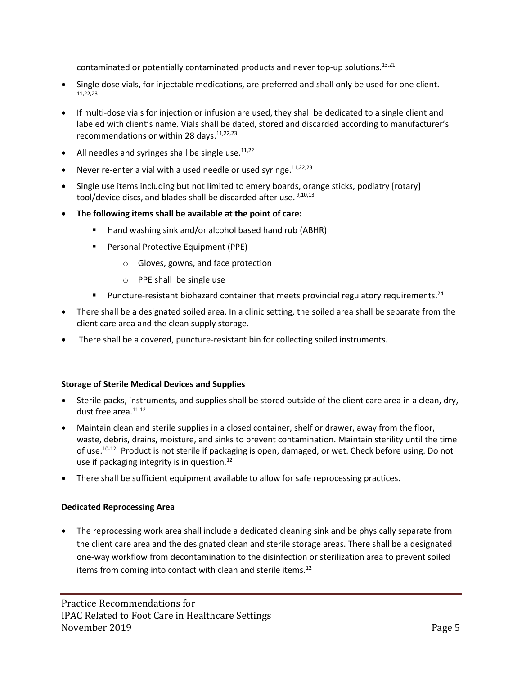contaminated or potentially contaminated products and never top-up solutions.<sup>13,21</sup>

- Single dose vials, for injectable medications, are preferred and shall only be used for one client.  $11,22,23$
- If multi-dose vials for injection or infusion are used, they shall be dedicated to a single client and labeled with client's name. Vials shall be dated, stored and discarded according to manufacturer's recommendations or within 28 days.<sup>11,22,23</sup>
- All needles and syringes shall be single use. $11,22$
- Never re-enter a vial with a used needle or used syringe.  $11,22,23$
- Single use items including but not limited to emery boards, orange sticks, podiatry [rotary] tool/device discs, and blades shall be discarded after use. <sup>9,10,13</sup>
- **The following items shall be available at the point of care:**
	- Hand washing sink and/or alcohol based hand rub (ABHR)
	- Personal Protective Equipment (PPE)
		- o Gloves, gowns, and face protection
		- o PPE shall be single use
	- **■** Puncture-resistant biohazard container that meets provincial regulatory requirements.<sup>24</sup>
- There shall be a designated soiled area. In a clinic setting, the soiled area shall be separate from the client care area and the clean supply storage.
- There shall be a covered, puncture-resistant bin for collecting soiled instruments.

### **Storage of Sterile Medical Devices and Supplies**

- Sterile packs, instruments, and supplies shall be stored outside of the client care area in a clean, dry, dust free area.<sup>11,12</sup>
- Maintain clean and sterile supplies in a closed container, shelf or drawer, away from the floor, waste, debris, drains, moisture, and sinks to prevent contamination. Maintain sterility until the time of use.<sup>10-12</sup> Product is not sterile if packaging is open, damaged, or wet. Check before using. Do not use if packaging integrity is in question.<sup>12</sup>
- There shall be sufficient equipment available to allow for safe reprocessing practices.

### **Dedicated Reprocessing Area**

• The reprocessing work area shall include a dedicated cleaning sink and be physically separate from the client care area and the designated clean and sterile storage areas. There shall be a designated one-way workflow from decontamination to the disinfection or sterilization area to prevent soiled items from coming into contact with clean and sterile items.<sup>12</sup>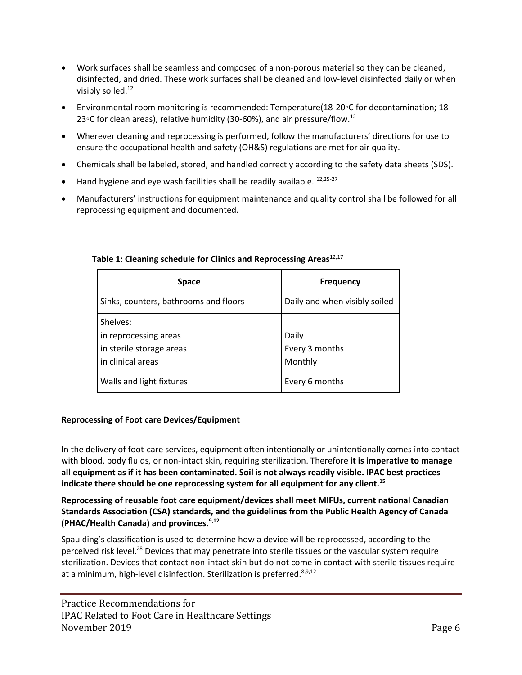- Work surfaces shall be seamless and composed of a non-porous material so they can be cleaned, disinfected, and dried. These work surfaces shall be cleaned and low-level disinfected daily or when visibly soiled.<sup>12</sup>
- Environmental room monitoring is recommended: Temperature(18-20◦C for decontamination; 18- 23◦C for clean areas), relative humidity (30-60%), and air pressure/flow.<sup>12</sup>
- Wherever cleaning and reprocessing is performed, follow the manufacturers' directions for use to ensure the occupational health and safety (OH&S) regulations are met for air quality.
- Chemicals shall be labeled, stored, and handled correctly according to the safety data sheets (SDS).
- $\bullet$  Hand hygiene and eye wash facilities shall be readily available.  $12,25-27$
- Manufacturers' instructions for equipment maintenance and quality control shall be followed for all reprocessing equipment and documented.

| <b>Space</b>                                                                       | <b>Frequency</b>                   |
|------------------------------------------------------------------------------------|------------------------------------|
| Sinks, counters, bathrooms and floors                                              | Daily and when visibly soiled      |
| Shelves:<br>in reprocessing areas<br>in sterile storage areas<br>in clinical areas | Daily<br>Every 3 months<br>Monthly |
| Walls and light fixtures                                                           | Every 6 months                     |

## **Table 1: Cleaning schedule for Clinics and Reprocessing Areas** 12,17

### <span id="page-5-0"></span>**Reprocessing of Foot care Devices/Equipment**

In the delivery of foot-care services, equipment often intentionally or unintentionally comes into contact with blood, body fluids, or non-intact skin, requiring sterilization. Therefore **it is imperative to manage all equipment as if it has been contaminated. Soil is not always readily visible. IPAC best practices indicate there should be one reprocessing system for all equipment for any client.<sup>15</sup>**

**Reprocessing of reusable foot care equipment/devices shall meet MIFUs, current national Canadian Standards Association (CSA) standards, and the guidelines from the Public Health Agency of Canada (PHAC/Health Canada) and provinces.9,12**

Spaulding's classification is used to determine how a device will be reprocessed, according to the perceived risk level.<sup>28</sup> Devices that may penetrate into sterile tissues or the vascular system require sterilization. Devices that contact non-intact skin but do not come in contact with sterile tissues require at a minimum, high-level disinfection. Sterilization is preferred.<sup>8,9,12</sup>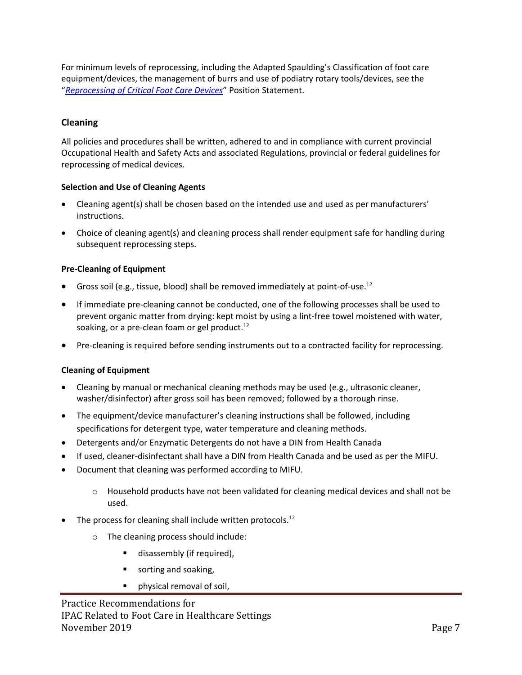For minimum levels of reprocessing, including the Adapted Spaulding's Classification of foot care equipment/devices, the management of burrs and use of podiatry rotary tools/devices, see the "*[Reprocessing of Critical Foot Care Devices](https://ipac-canada.org/photos/custom/Members/pdf/Position%20Statement%20%20_ReprocessingCriticalFootCare_Nov_2018_FINAL.pdf)*" Position Statement.

### <span id="page-6-0"></span>**Cleaning**

All policies and procedures shall be written, adhered to and in compliance with current provincial Occupational Health and Safety Acts and associated Regulations, provincial or federal guidelines for reprocessing of medical devices.

### **Selection and Use of Cleaning Agents**

- Cleaning agent(s) shall be chosen based on the intended use and used as per manufacturers' instructions.
- Choice of cleaning agent(s) and cleaning process shall render equipment safe for handling during subsequent reprocessing steps.

### **Pre-Cleaning of Equipment**

- Gross soil (e.g., tissue, blood) shall be removed immediately at point-of-use.<sup>12</sup>
- If immediate pre-cleaning cannot be conducted, one of the following processes shall be used to prevent organic matter from drying: kept moist by using a lint-free towel moistened with water, soaking, or a pre-clean foam or gel product.<sup>12</sup>
- Pre-cleaning is required before sending instruments out to a contracted facility for reprocessing.

### **Cleaning of Equipment**

- Cleaning by manual or mechanical cleaning methods may be used (e.g., ultrasonic cleaner, washer/disinfector) after gross soil has been removed; followed by a thorough rinse.
- The equipment/device manufacturer's cleaning instructions shall be followed, including specifications for detergent type, water temperature and cleaning methods.
- Detergents and/or Enzymatic Detergents do not have a DIN from Health Canada
- If used, cleaner-disinfectant shall have a DIN from Health Canada and be used as per the MIFU.
- Document that cleaning was performed according to MIFU.
	- o Household products have not been validated for cleaning medical devices and shall not be used.
- The process for cleaning shall include written protocols.<sup>12</sup>
	- o The cleaning process should include:
		- disassembly (if required),
		- sorting and soaking,
		- physical removal of soil,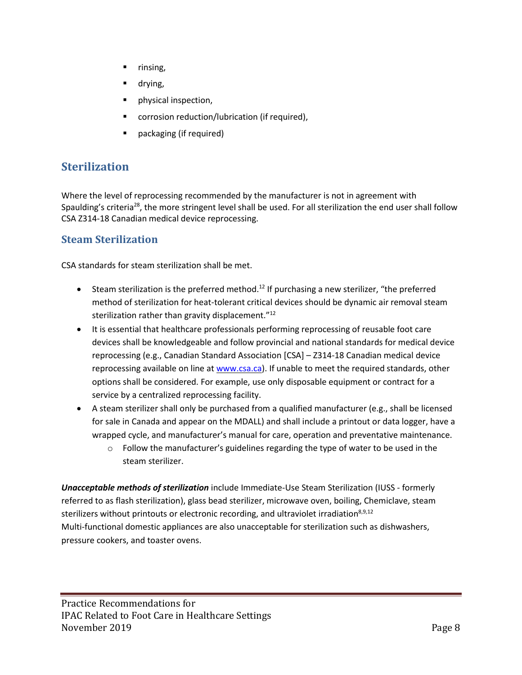- rinsing,
- drying,
- physical inspection,
- corrosion reduction/lubrication (if required),
- packaging (if required)

# <span id="page-7-0"></span>**Sterilization**

Where the level of reprocessing recommended by the manufacturer is not in agreement with Spaulding's criteria<sup>28</sup>, the more stringent level shall be used. For all sterilization the end user shall follow CSA Z314-18 Canadian medical device reprocessing.

## <span id="page-7-1"></span>**Steam Sterilization**

CSA standards for steam sterilization shall be met.

- Steam sterilization is the preferred method.<sup>12</sup> If purchasing a new sterilizer, "the preferred method of sterilization for heat-tolerant critical devices should be dynamic air removal steam sterilization rather than gravity displacement."<sup>12</sup>
- It is essential that healthcare professionals performing reprocessing of reusable foot care devices shall be knowledgeable and follow provincial and national standards for medical device reprocessing (e.g., Canadian Standard Association [CSA] – Z314-18 Canadian medical device reprocessing available on line at [www.csa.ca\)](http://www.csa.ca/). If unable to meet the required standards, other options shall be considered. For example, use only disposable equipment or contract for a service by a centralized reprocessing facility.
- A steam sterilizer shall only be purchased from a qualified manufacturer (e.g., shall be licensed for sale in Canada and appear on the MDALL) and shall include a printout or data logger, have a wrapped cycle, and manufacturer's manual for care, operation and preventative maintenance.
	- $\circ$  Follow the manufacturer's guidelines regarding the type of water to be used in the steam sterilizer.

*Unacceptable methods of sterilization* include Immediate-Use Steam Sterilization (IUSS - formerly referred to as flash sterilization), glass bead sterilizer, microwave oven, boiling, Chemiclave, steam sterilizers without printouts or electronic recording, and ultraviolet irradiation $8.9,12$ Multi-functional domestic appliances are also unacceptable for sterilization such as dishwashers, pressure cookers, and toaster ovens.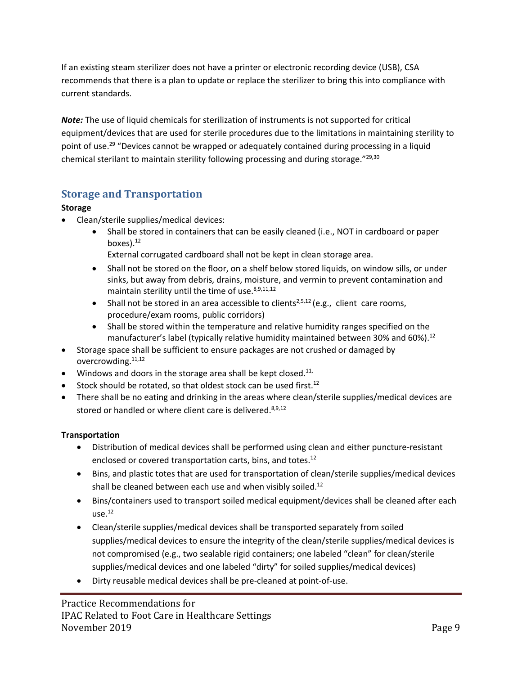If an existing steam sterilizer does not have a printer or electronic recording device (USB), CSA recommends that there is a plan to update or replace the sterilizer to bring this into compliance with current standards.

*Note:* The use of liquid chemicals for sterilization of instruments is not supported for critical equipment/devices that are used for sterile procedures due to the limitations in maintaining sterility to point of use.<sup>29</sup> "Devices cannot be wrapped or adequately contained during processing in a liquid chemical sterilant to maintain sterility following processing and during storage."<sup>29,30</sup>

# <span id="page-8-0"></span>**Storage and Transportation**

## **Storage**

- Clean/sterile supplies/medical devices:
	- Shall be stored in containers that can be easily cleaned (i.e., NOT in cardboard or paper boxes). $12$

External corrugated cardboard shall not be kept in clean storage area.

- Shall not be stored on the floor, on a shelf below stored liquids, on window sills, or under sinks, but away from debris, drains, moisture, and vermin to prevent contamination and maintain sterility until the time of use. $8,9,11,12$
- Shall not be stored in an area accessible to clients<sup>2,5,12</sup> (e.g., client care rooms, procedure/exam rooms, public corridors)
- Shall be stored within the temperature and relative humidity ranges specified on the manufacturer's label (typically relative humidity maintained between 30% and 60%).<sup>12</sup>
- Storage space shall be sufficient to ensure packages are not crushed or damaged by overcrowding.<sup>11,12</sup>
- $\bullet$  Windows and doors in the storage area shall be kept closed.<sup>11,</sup>
- Stock should be rotated, so that oldest stock can be used first.<sup>12</sup>
- There shall be no eating and drinking in the areas where clean/sterile supplies/medical devices are stored or handled or where client care is delivered.<sup>8,9,12</sup>

## **Transportation**

- Distribution of medical devices shall be performed using clean and either puncture-resistant enclosed or covered transportation carts, bins, and totes.<sup>12</sup>
- Bins, and plastic totes that are used for transportation of clean/sterile supplies/medical devices shall be cleaned between each use and when visibly soiled.<sup>12</sup>
- Bins/containers used to transport soiled medical equipment/devices shall be cleaned after each  $use.<sup>12</sup>$
- Clean/sterile supplies/medical devices shall be transported separately from soiled supplies/medical devices to ensure the integrity of the clean/sterile supplies/medical devices is not compromised (e.g., two sealable rigid containers; one labeled "clean" for clean/sterile supplies/medical devices and one labeled "dirty" for soiled supplies/medical devices)
- Dirty reusable medical devices shall be pre-cleaned at point-of-use.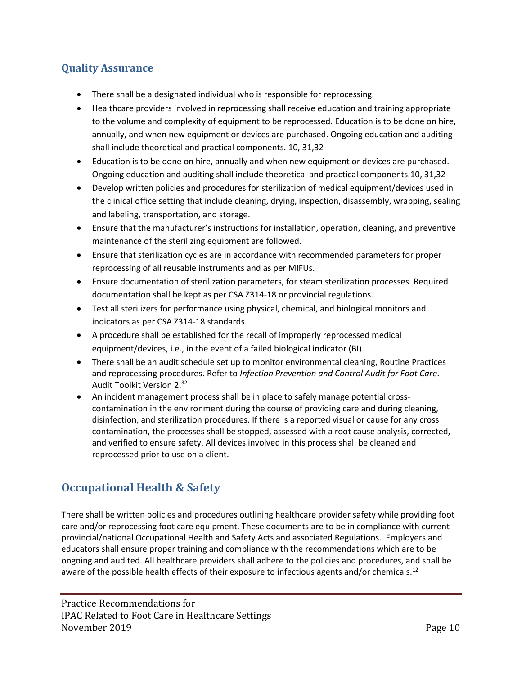# <span id="page-9-0"></span>**Quality Assurance**

- There shall be a designated individual who is responsible for reprocessing.
- Healthcare providers involved in reprocessing shall receive education and training appropriate to the volume and complexity of equipment to be reprocessed. Education is to be done on hire, annually, and when new equipment or devices are purchased. Ongoing education and auditing shall include theoretical and practical components. 10, 31,32
- Education is to be done on hire, annually and when new equipment or devices are purchased. Ongoing education and auditing shall include theoretical and practical components.10, 31,32
- Develop written policies and procedures for sterilization of medical equipment/devices used in the clinical office setting that include cleaning, drying, inspection, disassembly, wrapping, sealing and labeling, transportation, and storage.
- Ensure that the manufacturer's instructions for installation, operation, cleaning, and preventive maintenance of the sterilizing equipment are followed.
- Ensure that sterilization cycles are in accordance with recommended parameters for proper reprocessing of all reusable instruments and as per MIFUs.
- Ensure documentation of sterilization parameters, for steam sterilization processes. Required documentation shall be kept as per CSA Z314-18 or provincial regulations.
- Test all sterilizers for performance using physical, chemical, and biological monitors and indicators as per CSA Z314-18 standards.
- A procedure shall be established for the recall of improperly reprocessed medical equipment/devices, i.e., in the event of a failed biological indicator (BI).
- There shall be an audit schedule set up to monitor environmental cleaning, Routine Practices and reprocessing procedures. Refer to *Infection Prevention and Control Audit for Foot Care*. Audit Toolkit Version 2.<sup>32</sup>
- An incident management process shall be in place to safely manage potential crosscontamination in the environment during the course of providing care and during cleaning, disinfection, and sterilization procedures. If there is a reported visual or cause for any cross contamination, the processes shall be stopped, assessed with a root cause analysis, corrected, and verified to ensure safety. All devices involved in this process shall be cleaned and reprocessed prior to use on a client.

# <span id="page-9-1"></span>**Occupational Health & Safety**

There shall be written policies and procedures outlining healthcare provider safety while providing foot care and/or reprocessing foot care equipment. These documents are to be in compliance with current provincial/national Occupational Health and Safety Acts and associated Regulations. Employers and educators shall ensure proper training and compliance with the recommendations which are to be ongoing and audited. All healthcare providers shall adhere to the policies and procedures, and shall be aware of the possible health effects of their exposure to infectious agents and/or chemicals.<sup>12</sup>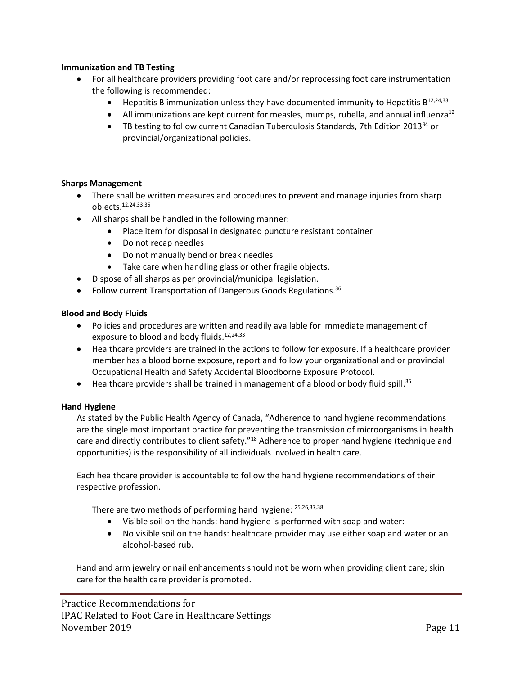### **Immunization and TB Testing**

- For all healthcare providers providing foot care and/or reprocessing foot care instrumentation the following is recommended:
	- Hepatitis B immunization unless they have documented immunity to Hepatitis B<sup>12,24,33</sup>
	- All immunizations are kept current for measles, mumps, rubella, and annual influenza<sup>12</sup>
	- TB testing to follow current Canadian Tuberculosis Standards, 7th Edition 2013<sup>34</sup> or provincial/organizational policies.

### **Sharps Management**

- There shall be written measures and procedures to prevent and manage injuries from sharp objects.12,24,33,35
- All sharps shall be handled in the following manner:
	- Place item for disposal in designated puncture resistant container
	- Do not recap needles
	- Do not manually bend or break needles
	- Take care when handling glass or other fragile objects.
- Dispose of all sharps as per provincial/municipal legislation.
- Follow current Transportation of Dangerous Goods Regulations.<sup>36</sup>

### **Blood and Body Fluids**

- Policies and procedures are written and readily available for immediate management of exposure to blood and body fluids.<sup>12,24,33</sup>
- Healthcare providers are trained in the actions to follow for exposure. If a healthcare provider member has a blood borne exposure, report and follow your organizational and or provincial Occupational Health and Safety Accidental Bloodborne Exposure Protocol.
- $\bullet$  Healthcare providers shall be trained in management of a blood or body fluid spill.<sup>35</sup>

### **Hand Hygiene**

As stated by the Public Health Agency of Canada, "Adherence to hand hygiene recommendations are the single most important practice for preventing the transmission of microorganisms in health care and directly contributes to client safety."<sup>18</sup> Adherence to proper hand hygiene (technique and opportunities) is the responsibility of all individuals involved in health care.

Each healthcare provider is accountable to follow the hand hygiene recommendations of their respective profession.

There are two methods of performing hand hygiene: <sup>25,26,37,38</sup>

- Visible soil on the hands: hand hygiene is performed with soap and water:
- No visible soil on the hands: healthcare provider may use either soap and water or an alcohol-based rub.

Hand and arm jewelry or nail enhancements should not be worn when providing client care; skin care for the health care provider is promoted.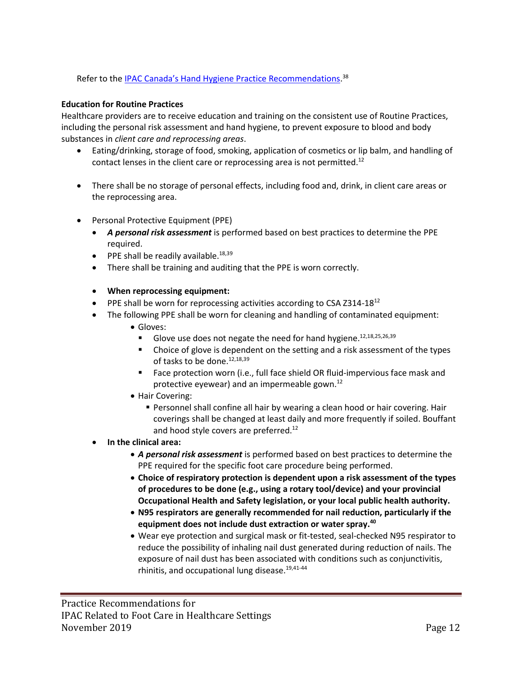Refer to the <u>[IPAC Canada's Hand Hygiene](https://ipac-canada.org/photos/custom/Members/pdf/17JulHand%20Hygiene%20Practice%20Recommendations_final.pdf) Practice Recommendations.</u><sup>38</sup>

### **Education for Routine Practices**

Healthcare providers are to receive education and training on the consistent use of Routine Practices, including the personal risk assessment and hand hygiene, to prevent exposure to blood and body substances in *client care and reprocessing areas*.

- Eating/drinking, storage of food, smoking, application of cosmetics or lip balm, and handling of contact lenses in the client care or reprocessing area is not permitted.<sup>12</sup>
- There shall be no storage of personal effects, including food and, drink, in client care areas or the reprocessing area.
- Personal Protective Equipment (PPE)
	- *A personal risk assessment* is performed based on best practices to determine the PPE required.
	- $\bullet$  PPE shall be readily available.<sup>18,39</sup>
	- There shall be training and auditing that the PPE is worn correctly.
	- **When reprocessing equipment:**
	- PPE shall be worn for reprocessing activities according to CSA Z314-18 $^{12}$
	- The following PPE shall be worn for cleaning and handling of contaminated equipment:
		- Gloves:
			- Glove use does not negate the need for hand hygiene.<sup>12,18,25,26,39</sup>
			- Choice of glove is dependent on the setting and a risk assessment of the types of tasks to be done.<sup>12,18,39</sup>
			- Face protection worn (i.e., full face shield OR fluid-impervious face mask and protective eyewear) and an impermeable gown. 12
		- Hair Covering:
			- **Personnel shall confine all hair by wearing a clean hood or hair covering. Hair** coverings shall be changed at least daily and more frequently if soiled. Bouffant and hood style covers are preferred.<sup>12</sup>
	- **In the clinical area:**
		- *A personal risk assessment* is performed based on best practices to determine the PPE required for the specific foot care procedure being performed.
		- **Choice of respiratory protection is dependent upon a risk assessment of the types of procedures to be done (e.g., using a rotary tool/device) and your provincial Occupational Health and Safety legislation, or your local public health authority.**
		- **N95 respirators are generally recommended for nail reduction, particularly if the equipment does not include dust extraction or water spray.<sup>40</sup>**
		- Wear eye protection and surgical mask or fit-tested, seal-checked N95 respirator to reduce the possibility of inhaling nail dust generated during reduction of nails. The exposure of nail dust has been associated with conditions such as conjunctivitis, rhinitis, and occupational lung disease.<sup>19,41-44</sup>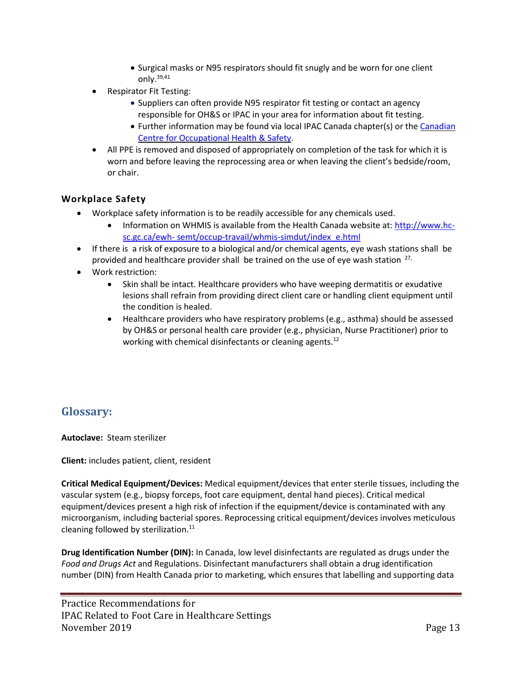- Surgical masks or N95 respirators should fit snugly and be worn for one client only.39,41
- Respirator Fit Testing:
	- Suppliers can often provide N95 respirator fit testing or contact an agency responsible for OH&S or IPAC in your area for information about fit testing.
	- Further information may be found via local IPAC Canada chapter(s) or the [Canadian](https://www.ccohs.ca/) Centre for [Occupational](https://www.ccohs.ca/) Health & Safety.
- All PPE is removed and disposed of appropriately on completion of the task for which it is worn and before leaving the reprocessing area or when leaving the client's bedside/room, or chair.

### **Workplace Safety**

- Workplace safety information is to be readily accessible for any chemicals used.
	- Information on WHMIS is available from the Health Canada website at: [http://www.hc](http://www.hc-sc.gc.ca/ewh-%20semt/occup-travail/whmis-simdut/index_e.html)sc.gc.ca/ewh- [semt/occup-travail/whmis-simdut/index\\_e.html](http://www.hc-sc.gc.ca/ewh-%20semt/occup-travail/whmis-simdut/index_e.html)
- If there is a risk of exposure to a biological and/or chemical agents, eye wash stations shall be provided and healthcare provider shall be trained on the use of eye wash station  $27$ ,
- Work restriction:
	- Skin shall be intact. Healthcare providers who have weeping dermatitis or exudative lesions shall refrain from providing direct client care or handling client equipment until the condition is healed.
	- Healthcare providers who have respiratory problems (e.g., asthma) should be assessed by OH&S or personal health care provider (e.g., physician, Nurse Practitioner) prior to working with chemical disinfectants or cleaning agents.<sup>12</sup>

# <span id="page-12-0"></span>**Glossary:**

**Autoclave:** Steam sterilizer

**Client:** includes patient, client, resident

**Critical Medical Equipment/Devices:** Medical equipment/devices that enter sterile tissues, including the vascular system (e.g., biopsy forceps, foot care equipment, dental hand pieces). Critical medical equipment/devices present a high risk of infection if the equipment/device is contaminated with any microorganism, including bacterial spores. Reprocessing critical equipment/devices involves meticulous cleaning followed by sterilization.<sup>11</sup>

**Drug Identification Number (DIN):** In Canada, low level disinfectants are regulated as drugs under the *Food and Drugs Act* and Regulations. Disinfectant manufacturers shall obtain a drug identification number (DIN) from Health Canada prior to marketing, which ensures that labelling and supporting data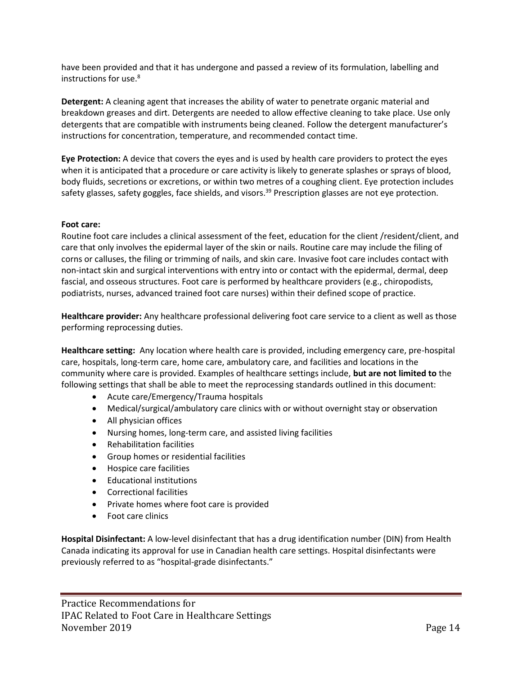have been provided and that it has undergone and passed a review of its formulation, labelling and instructions for use.<sup>8</sup>

**Detergent:** A cleaning agent that increases the ability of water to penetrate organic material and breakdown greases and dirt. Detergents are needed to allow effective cleaning to take place. Use only detergents that are compatible with instruments being cleaned. Follow the detergent manufacturer's instructions for concentration, temperature, and recommended contact time.

**Eye Protection:** A device that covers the eyes and is used by health care providers to protect the eyes when it is anticipated that a procedure or care activity is likely to generate splashes or sprays of blood, body fluids, secretions or excretions, or within two metres of a coughing client. Eye protection includes safety glasses, safety goggles, face shields, and visors.<sup>39</sup> Prescription glasses are not eye protection.

### **Foot care:**

Routine foot care includes a clinical assessment of the feet, education for the client /resident/client, and care that only involves the epidermal layer of the skin or nails. Routine care may include the filing of corns or calluses, the filing or trimming of nails, and skin care. Invasive foot care includes contact with non-intact skin and surgical interventions with entry into or contact with the epidermal, dermal, deep fascial, and osseous structures. Foot care is performed by healthcare providers (e.g., chiropodists, podiatrists, nurses, advanced trained foot care nurses) within their defined scope of practice.

**Healthcare provider:** Any healthcare professional delivering foot care service to a client as well as those performing reprocessing duties.

**Healthcare setting:** Any location where health care is provided, including emergency care, pre-hospital care, hospitals, long-term care, home care, ambulatory care, and facilities and locations in the community where care is provided. Examples of healthcare settings include, **but are not limited to** the following settings that shall be able to meet the reprocessing standards outlined in this document:

- Acute care/Emergency/Trauma hospitals
- Medical/surgical/ambulatory care clinics with or without overnight stay or observation
- All physician offices
- Nursing homes, long-term care, and assisted living facilities
- Rehabilitation facilities
- Group homes or residential facilities
- Hospice care facilities
- Educational institutions
- Correctional facilities
- Private homes where foot care is provided
- Foot care clinics

**Hospital Disinfectant:** A low-level disinfectant that has a drug identification number (DIN) from Health Canada indicating its approval for use in Canadian health care settings. Hospital disinfectants were previously referred to as "hospital-grade disinfectants."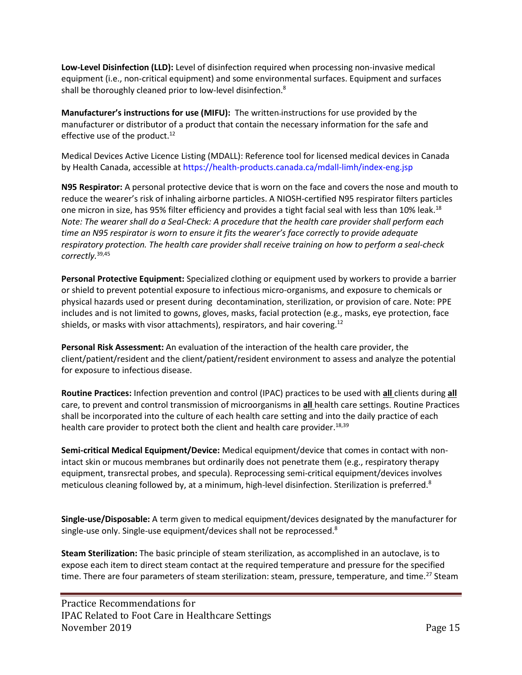**Low-Level Disinfection (LLD):** Level of disinfection required when processing non-invasive medical equipment (i.e., non-critical equipment) and some environmental surfaces. Equipment and surfaces shall be thoroughly cleaned prior to low-level disinfection.<sup>8</sup>

**Manufacturer's instructions for use (MIFU):** The written instructions for use provided by the manufacturer or distributor of a product that contain the necessary information for the safe and effective use of the product.<sup>12</sup>

Medical Devices Active Licence Listing (MDALL): Reference tool for licensed medical devices in Canada by Health Canada, accessible at https://health-products.canada.ca/mdall-limh/index-eng.jsp

**N95 Respirator:** A personal protective device that is worn on the face and covers the nose and mouth to reduce the wearer's risk of inhaling airborne particles. A NIOSH-certified N95 respirator filters particles one micron in size, has 95% filter efficiency and provides a tight facial seal with less than 10% leak.<sup>18</sup> *Note: The wearer shall do a Seal-Check: A procedure that the health care provider shall perform each time an N95 respirator is worn to ensure it fits the wearer's face correctly to provide adequate respiratory protection. The health care provider shall receive training on how to perform a seal-check correctly.*39,45

**Personal Protective Equipment:** Specialized clothing or equipment used by workers to provide a barrier or shield to prevent potential exposure to infectious micro-organisms, and exposure to chemicals or physical hazards used or present during decontamination, sterilization, or provision of care. Note: PPE includes and is not limited to gowns, gloves, masks, facial protection (e.g., masks, eye protection, face shields, or masks with visor attachments), respirators, and hair covering.<sup>12</sup>

**Personal Risk Assessment:** An evaluation of the interaction of the health care provider, the client/patient/resident and the client/patient/resident environment to assess and analyze the potential for exposure to infectious disease.

**Routine Practices:** Infection prevention and control (IPAC) practices to be used with **all** clients during **all** care, to prevent and control transmission of microorganisms in **all** health care settings. Routine Practices shall be incorporated into the culture of each health care setting and into the daily practice of each health care provider to protect both the client and health care provider.<sup>18,39</sup>

**Semi-critical Medical Equipment/Device:** Medical equipment/device that comes in contact with nonintact skin or mucous membranes but ordinarily does not penetrate them (e.g., respiratory therapy equipment, transrectal probes, and specula). Reprocessing semi-critical equipment/devices involves meticulous cleaning followed by, at a minimum, high-level disinfection. Sterilization is preferred.<sup>8</sup>

**Single-use/Disposable:** A term given to medical equipment/devices designated by the manufacturer for single-use only. Single-use equipment/devices shall not be reprocessed.<sup>8</sup>

**Steam Sterilization:** The basic principle of steam sterilization, as accomplished in an autoclave, is to expose each item to direct steam contact at the required temperature and pressure for the specified time. There are four parameters of steam sterilization: steam, pressure, temperature, and time.<sup>27</sup> Steam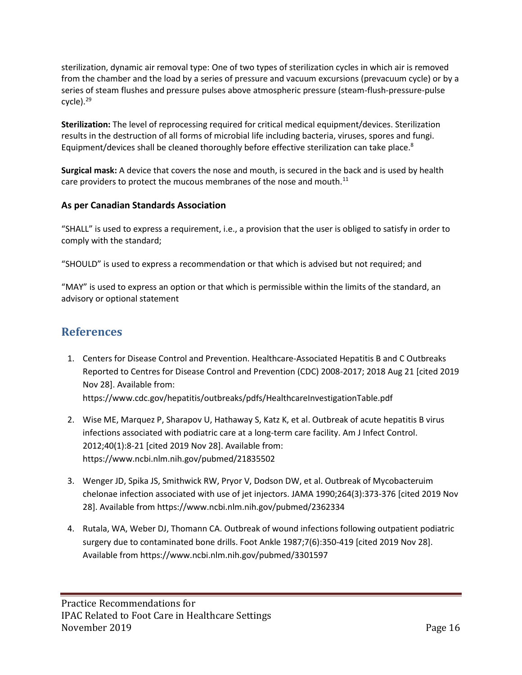sterilization, dynamic air removal type: One of two types of sterilization cycles in which air is removed from the chamber and the load by a series of pressure and vacuum excursions (prevacuum cycle) or by a series of steam flushes and pressure pulses above atmospheric pressure (steam-flush-pressure-pulse cycle).<sup>29</sup>

**Sterilization:** The level of reprocessing required for critical medical equipment/devices. Sterilization results in the destruction of all forms of microbial life including bacteria, viruses, spores and fungi. Equipment/devices shall be cleaned thoroughly before effective sterilization can take place.<sup>8</sup>

**Surgical mask:** A device that covers the nose and mouth, is secured in the back and is used by health care providers to protect the mucous membranes of the nose and mouth. $^{11}$ 

## **As per Canadian Standards Association**

"SHALL" is used to express a requirement, i.e., a provision that the user is obliged to satisfy in order to comply with the standard;

"SHOULD" is used to express a recommendation or that which is advised but not required; and

"MAY" is used to express an option or that which is permissible within the limits of the standard, an advisory or optional statement

# <span id="page-15-0"></span>**References**

- 1. Centers for Disease Control and Prevention. Healthcare-Associated Hepatitis B and C Outbreaks Reported to Centres for Disease Control and Prevention (CDC) 2008-2017; 2018 Aug 21 [cited 2019 Nov 28]. Available from: https://www.cdc.gov/hepatitis/outbreaks/pdfs/HealthcareInvestigationTable.pdf
- 2. Wise ME, Marquez P, Sharapov U, Hathaway S, Katz K, et al. Outbreak of acute hepatitis B virus infections associated with podiatric care at a long-term care facility. Am J Infect Control. 2012;40(1):8-21 [cited 2019 Nov 28]. Available from: <https://www.ncbi.nlm.nih.gov/pubmed/21835502>
- 3. Wenger JD, Spika JS, Smithwick RW, Pryor V, Dodson DW, et al. Outbreak of Mycobacteruim chelonae infection associated with use of jet injectors. JAMA 1990;264(3):373-376 [cited 2019 Nov 28]. Available from https://www.ncbi.nlm.nih.gov/pubmed/2362334
- 4. Rutala, WA, Weber DJ, Thomann CA. Outbreak of wound infections following outpatient podiatric surgery due to contaminated bone drills. Foot Ankle 1987;7(6):350-419 [cited 2019 Nov 28]. Available fro[m https://www.ncbi.nlm.nih.gov/pubmed/3301597](https://www.ncbi.nlm.nih.gov/pubmed/3301597)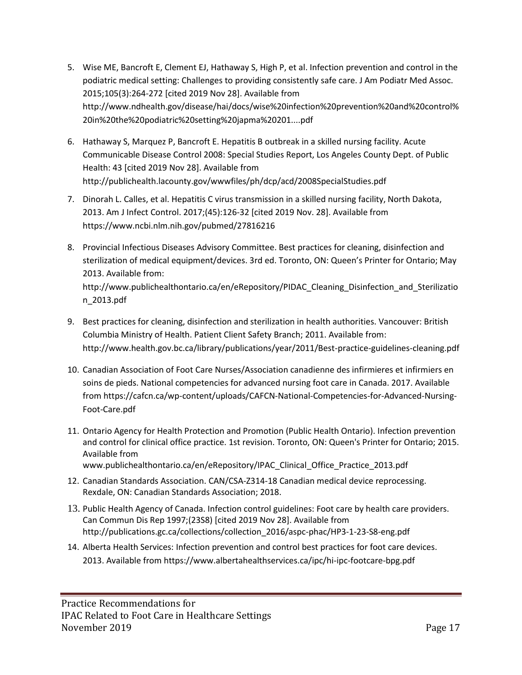- 5. Wise ME, Bancroft E, Clement EJ, Hathaway S, High P, et al. Infection prevention and control in the podiatric medical setting: Challenges to providing consistently safe care. J Am Podiatr Med Assoc. 2015;105(3):264-272 [cited 2019 Nov 28]. Available from [http://www.ndhealth.gov/disease/hai/docs/wise%20infection%20prevention%20and%20control%](http://www.ndhealth.gov/disease/hai/docs/wise%20infection%20prevention%20and%20control%20in%20the%20podiatric%20setting%20japma%20201....pdf) [20in%20the%20podiatric%20setting%20japma%20201....pdf](http://www.ndhealth.gov/disease/hai/docs/wise%20infection%20prevention%20and%20control%20in%20the%20podiatric%20setting%20japma%20201....pdf)
- 6. Hathaway S, Marquez P, Bancroft E. Hepatitis B outbreak in a skilled nursing facility. Acute Communicable Disease Control 2008: Special Studies Report, Los Angeles County Dept. of Public Health: 43 [cited 2019 Nov 28]. Available from <http://publichealth.lacounty.gov/wwwfiles/ph/dcp/acd/2008SpecialStudies.pdf>
- 7. Dinorah L. Calles, et al. Hepatitis C virus transmission in a skilled nursing facility, North Dakota, 2013. Am J Infect Control. 2017;(45):126-32 [cited 2019 Nov. 28]. Available from https://www.ncbi.nlm.nih.gov/pubmed/27816216
- 8. Provincial Infectious Diseases Advisory Committee. Best practices for cleaning, disinfection and sterilization of medical equipment/devices. 3rd ed. Toronto, ON: Queen's Printer for Ontario; May 2013. Available from: [http://www.publichealthontario.ca/en/eRepository/PIDAC\\_Cleaning\\_Disinfection\\_and\\_Sterilizatio](http://www.publichealthontario.ca/en/eRepository/PIDAC_Cleaning_Disinfection_and_Sterilization_2013.pdf) [n\\_2013.pdf](http://www.publichealthontario.ca/en/eRepository/PIDAC_Cleaning_Disinfection_and_Sterilization_2013.pdf)
- 9. Best practices for cleaning, disinfection and sterilization in health authorities. Vancouver: British Columbia Ministry of Health. Patient Client Safety Branch; 2011. Available from: <http://www.health.gov.bc.ca/library/publications/year/2011/Best-practice-guidelines-cleaning.pdf>
- 10. Canadian Association of Foot Care Nurses/Association canadienne des infirmieres et infirmiers en soins de pieds. National competencies for advanced nursing foot care in Canada. 2017. Available from https://cafcn.ca/wp-content/uploads/CAFCN-National-Competencies-for-Advanced-Nursing-Foot-Care.pdf
- 11. Ontario Agency for Health Protection and Promotion (Public Health Ontario). Infection prevention and control for clinical office practice. 1st revision. Toronto, ON: Queen's Printer for Ontario; 2015. Available from [www.publichealthontario.ca/en/eRepository/IPAC\\_Clinical\\_Office\\_Practice\\_2013.pdf](http://www.publichealthontario.ca/en/eRepository/IPAC_Clinical_Office_Practice_2013.pdf)
- 12. Canadian Standards Association. CAN/CSA-Z314-18 Canadian medical device reprocessing. Rexdale, ON: Canadian Standards Association; 2018.
- 13. Public Health Agency of Canada. Infection control guidelines: Foot care by health care providers. Can Commun Dis Rep 1997;(23S8) [cited 2019 Nov 28]. Available from [http://publications.gc.ca/collections/collection\\_2016/aspc-phac/HP3-1-23-S8-eng.pdf](http://publications.gc.ca/collections/collection_2016/aspc-phac/HP3-1-23-S8-eng.pdf)
- 14. Alberta Health Services: Infection prevention and control best practices for foot care devices. 2013. Available from <https://www.albertahealthservices.ca/ipc/hi-ipc-footcare-bpg.pdf>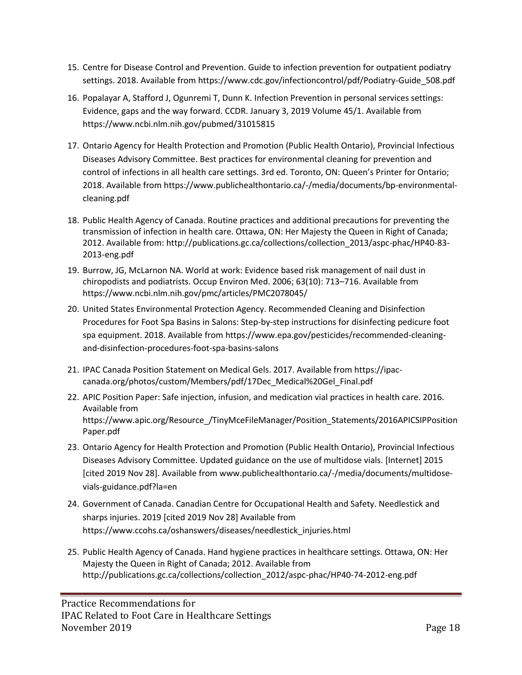- 15. Centre for Disease Control and Prevention. Guide to infection prevention for outpatient podiatry settings. 2018. Available from [https://www.cdc.gov/infectioncontrol/pdf/Podiatry-Guide\\_508.pdf](https://www.cdc.gov/infectioncontrol/pdf/Podiatry-Guide_508.pdf)
- 16. Popalayar A, Stafford J, Ogunremi T, Dunn K. Infection Prevention in personal services settings: Evidence, gaps and the way forward. CCDR. January 3, 2019 Volume 45/1. Available from https://www.ncbi.nlm.nih.gov/pubmed/31015815
- 17. Ontario Agency for Health Protection and Promotion (Public Health Ontario), Provincial Infectious Diseases Advisory Committee. Best practices for environmental cleaning for prevention and control of infections in all health care settings. 3rd ed. Toronto, ON: Queen's Printer for Ontario; 2018. Available from https://www.publichealthontario.ca/-/media/documents/bp-environmentalcleaning.pdf
- 18. Public Health Agency of Canada. Routine practices and additional precautions for preventing the transmission of infection in health care. Ottawa, ON: Her Majesty the Queen in Right of Canada; 2012. Available from: http://publications.gc.ca/collections/collection\_2013/aspc-phac/HP40-83- 2013-eng.pdf
- 19. Burrow, JG, McLarnon NA. World at work: Evidence based risk management of nail dust in chiropodists and podiatrists. Occup Environ Med. 2006; 63(10): 713–716. Available from https://www.ncbi.nlm.nih.gov/pmc/articles/PMC2078045/
- 20. United States Environmental Protection Agency. Recommended Cleaning and Disinfection Procedures for Foot Spa Basins in Salons: Step-by-step instructions for disinfecting pedicure foot spa equipment. 2018. Available from https://www.epa.gov/pesticides/recommended-cleaningand-disinfection-procedures-foot-spa-basins-salons
- 21. IPAC Canada Position Statement on Medical Gels. 2017. Available from [https://ipac](https://ipac-canada.org/photos/custom/Members/pdf/17Dec_Medical%20Gel_Final.pdf)[canada.org/photos/custom/Members/pdf/17Dec\\_Medical%20Gel\\_Final.pdf](https://ipac-canada.org/photos/custom/Members/pdf/17Dec_Medical%20Gel_Final.pdf)
- 22. APIC Position Paper: Safe injection, infusion, and medication vial practices in health care. 2016. Available from https://www.apic.org/Resource\_/TinyMceFileManager/Position\_Statements/2016APICSIPPosition Paper.pdf
- 23. Ontario Agency for Health Protection and Promotion (Public Health Ontario), Provincial Infectious Diseases Advisory Committee. Updated guidance on the use of multidose vials. [Internet] 2015 [cited 2019 Nov 28]. Available from [www.publichealthontario.ca/-/media/documents/multidose](http://www.publichealthontario.ca/-/media/documents/multidose-vials-guidance.pdf?la=en)[vials-guidance.pdf?la=en](http://www.publichealthontario.ca/-/media/documents/multidose-vials-guidance.pdf?la=en)
- 24. Government of Canada. Canadian Centre for Occupational Health and Safety. Needlestick and sharps injuries. 2019 [cited 2019 Nov 28] Available from [https://www.ccohs.ca/oshanswers/diseases/needlestick\\_injuries.html](https://www.ccohs.ca/oshanswers/diseases/needlestick_injuries.html)
- 25. Public Health Agency of Canada. Hand hygiene practices in healthcare settings. Ottawa, ON: Her Majesty the Queen in Right of Canada; 2012. Available from [http://publications.gc.ca/collections/collection\\_2012/aspc-phac/HP40-74-2012-eng.pdf](http://publications.gc.ca/collections/collection_2012/aspc-phac/HP40-74-2012-eng.pdf)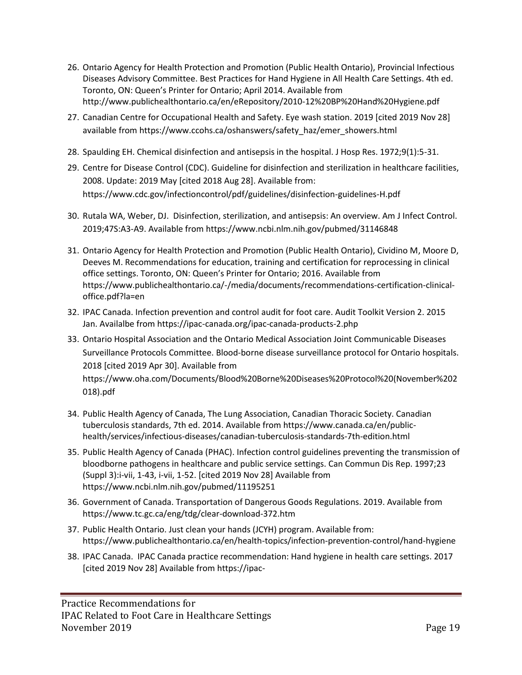- 26. Ontario Agency for Health Protection and Promotion (Public Health Ontario), Provincial Infectious Diseases Advisory Committee. Best Practices for Hand Hygiene in All Health Care Settings. 4th ed. Toronto, ON: Queen's Printer for Ontario; April 2014. Available from <http://www.publichealthontario.ca/en/eRepository/2010-12%20BP%20Hand%20Hygiene.pdf>
- 27. Canadian Centre for Occupational Health and Safety. Eye wash station. 2019 [cited 2019 Nov 28] available from [https://www.ccohs.ca/oshanswers/safety\\_haz/emer\\_showers.html](https://www.ccohs.ca/oshanswers/safety_haz/emer_showers.html)
- 28. Spaulding EH. Chemical disinfection and antisepsis in the hospital. J Hosp Res. 1972;9(1):5-31.
- 29. Centre for Disease Control (CDC). Guideline for disinfection and sterilization in healthcare facilities, 2008. Update: 2019 May [cited 2018 Aug 28]. Available from: https://www.cdc.gov/infectioncontrol/pdf/guidelines/disinfection-guidelines-H.pdf
- 30. Rutala WA, Weber, DJ. Disinfection, sterilization, and antisepsis: An overview. Am J Infect Control. 2019;47S:A3-A9. Available from https://www.ncbi.nlm.nih.gov/pubmed/31146848
- 31. Ontario Agency for Health Protection and Promotion (Public Health Ontario), Cividino M, Moore D, Deeves M. Recommendations for education, training and certification for reprocessing in clinical office settings. Toronto, ON: Queen's Printer for Ontario; 2016. Available from [https://www.publichealthontario.ca/-/media/documents/recommendations-certification-clinical](https://www.publichealthontario.ca/-/media/documents/recommendations-certification-clinical-office.pdf?la=en)[office.pdf?la=en](https://www.publichealthontario.ca/-/media/documents/recommendations-certification-clinical-office.pdf?la=en)
- 32. IPAC Canada. Infection prevention and control audit for foot care. Audit Toolkit Version 2. 2015 Jan. Availalbe from https://ipac-canada.org/ipac-canada-products-2.php
- 33. Ontario Hospital Association and the Ontario Medical Association Joint Communicable Diseases Surveillance Protocols Committee. Blood-borne disease surveillance protocol for Ontario hospitals. 2018 [cited 2019 Apr 30]. Available from [https://www.oha.com/Documents/Blood%20Borne%20Diseases%20Protocol%20\(November%202](https://www.oha.com/Documents/Blood%20Borne%20Diseases%20Protocol%20(November%202018).pdf) [018\).pdf](https://www.oha.com/Documents/Blood%20Borne%20Diseases%20Protocol%20(November%202018).pdf)
- 34. Public Health Agency of Canada, The Lung Association, Canadian Thoracic Society. Canadian tuberculosis standards, 7th ed. 2014. Available from https://www.canada.ca/en/publichealth/services/infectious-diseases/canadian-tuberculosis-standards-7th-edition.html
- 35. Public Health Agency of Canada (PHAC). Infection control guidelines preventing the transmission of bloodborne pathogens in healthcare and public service settings. Can Commun Dis Rep. 1997;23 (Suppl 3):i-vii, 1-43, i-vii, 1-52. [cited 2019 Nov 28] Available from https://www.ncbi.nlm.nih.gov/pubmed/11195251
- 36. Government of Canada. Transportation of Dangerous Goods Regulations. 2019. Available from <https://www.tc.gc.ca/eng/tdg/clear-download-372.htm>
- 37. Public Health Ontario. Just clean your hands (JCYH) program. Available from: <https://www.publichealthontario.ca/en/health-topics/infection-prevention-control/hand-hygiene>
- 38. IPAC Canada. IPAC Canada practice recommendation: Hand hygiene in health care settings. 2017 [cited 2019 Nov 28] Available from [https://ipac-](https://ipac-canada.org/photos/custom/Members/pdf/17JulHand%20Hygiene%20Practice%20Recommendations_final.pdf)